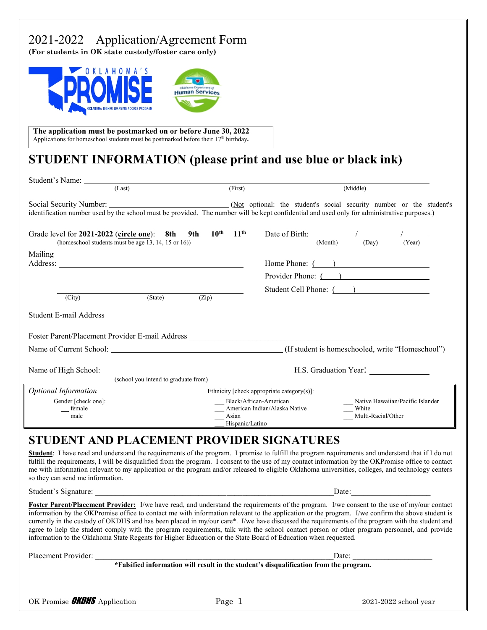## 2021-2022 Application/Agreement Form

**(For students in OK state custody/foster care only)**



**The application must be postmarked on or before June 30, 2022** Applications for homeschool students must be postmarked before their 17<sup>th</sup> birthday. 

## **STUDENT INFORMATION (please print and use blue or black ink)**

| Student's Name:<br>(Last)                                                                                                                   | (First)                                                                                                                                                |                                            | (Middle)                                                            |
|---------------------------------------------------------------------------------------------------------------------------------------------|--------------------------------------------------------------------------------------------------------------------------------------------------------|--------------------------------------------|---------------------------------------------------------------------|
| identification number used by the school must be provided. The number will be kept confidential and used only for administrative purposes.) |                                                                                                                                                        |                                            |                                                                     |
| Grade level for $2021-2022$ (circle one): 8th 9th $10^{th}$ 11 <sup>th</sup><br>(homeschool students must be age 13, 14, 15 or 16))         |                                                                                                                                                        | Date of Birth: $\frac{1}{(Month)}$ (Day)   | (Year)                                                              |
| Mailing                                                                                                                                     |                                                                                                                                                        |                                            | Home Phone: $($ $)$<br>Provider Phone: ()<br>Student Cell Phone: () |
| (State)<br>(City)                                                                                                                           | (Zip)                                                                                                                                                  |                                            |                                                                     |
|                                                                                                                                             |                                                                                                                                                        |                                            |                                                                     |
|                                                                                                                                             |                                                                                                                                                        |                                            |                                                                     |
| (school you intend to graduate from)                                                                                                        |                                                                                                                                                        |                                            | H.S. Graduation Year:                                               |
| <b>Optional Information</b>                                                                                                                 |                                                                                                                                                        | Ethnicity [check appropriate category(s)]: |                                                                     |
| Gender [check one]:<br>__ female<br>male                                                                                                    | Black/African-American<br>Native Hawaiian/Pacific Islander<br>American Indian/Alaska Native<br>White<br>Multi-Racial/Other<br>Asian<br>Hispanic/Latino |                                            |                                                                     |

#### **STUDENT AND PLACEMENT PROVIDER SIGNATURES**

**Student**: I have read and understand the requirements of the program. I promise to fulfill the program requirements and understand that if I do not fulfill the requirements, I will be disqualified from the program. I consent to the use of my contact information by the OKPromise office to contact me with information relevant to my application or the program and/or released to eligible Oklahoma universities, colleges, and technology centers so they can send me information.

Student's Signature: \_\_\_\_\_\_\_\_\_\_\_\_\_\_\_\_\_\_\_\_\_\_\_\_\_\_\_\_\_\_\_\_\_\_\_\_\_\_\_\_\_\_\_\_\_\_\_\_\_\_\_\_\_\_\_\_\_\_\_\_Date:\_\_\_\_\_\_\_\_\_\_\_\_\_\_\_\_\_\_\_\_

 $\alpha$  is  $\alpha$ 

**Foster Parent/Placement Provider:** I/we have read, and understand the requirements of the program. I/we consent to the use of my/our contact information by the OKPromise office to contact me with information relevant to the application or the program. I/we confirm the above student is currently in the custody of OKDHS and has been placed in my/our care\*. I/we have discussed the requirements of the program with the student and agree to help the student comply with the program requirements, talk with the school contact person or other program personnel, and provide information to the Oklahoma State Regents for Higher Education or the State Board of Education when requested.

Placement Provider: \_\_\_\_\_\_\_\_\_\_\_\_\_\_\_\_\_\_\_\_\_\_\_\_\_\_\_\_\_\_\_\_\_\_\_\_\_\_\_\_\_\_\_\_\_\_\_\_\_\_\_\_\_\_\_\_\_\_\_\_Date: \_\_\_\_\_\_\_\_\_\_\_\_\_\_\_\_\_\_\_\_

 **\*Falsified information will result in the student's disqualification from the program.**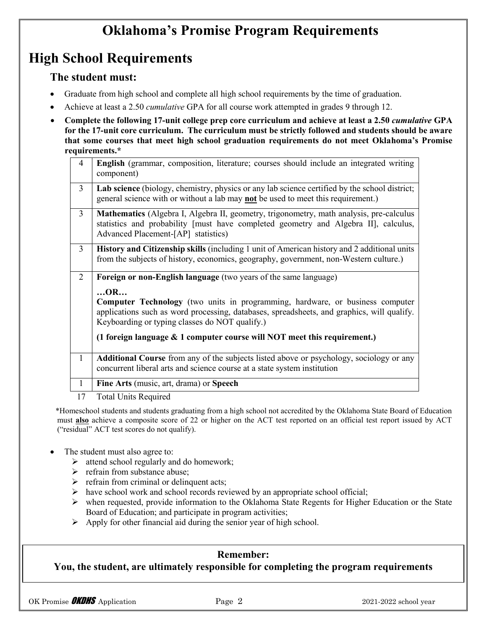# **Oklahoma's Promise Program Requirements**

## **High School Requirements**

#### **The student must:**

- Graduate from high school and complete all high school requirements by the time of graduation.
- Achieve at least a 2.50 *cumulative* GPA for all course work attempted in grades 9 through 12.
- **Complete the following 17-unit college prep core curriculum and achieve at least a 2.50** *cumulative* **GPA for the 17-unit core curriculum. The curriculum must be strictly followed and students should be aware that some courses that meet high school graduation requirements do not meet Oklahoma's Promise requirements.\***

| $\overline{4}$ | English (grammar, composition, literature; courses should include an integrated writing<br>component)                                                                                                                               |  |  |
|----------------|-------------------------------------------------------------------------------------------------------------------------------------------------------------------------------------------------------------------------------------|--|--|
| $\overline{3}$ | Lab science (biology, chemistry, physics or any lab science certified by the school district;<br>general science with or without a lab may not be used to meet this requirement.)                                                   |  |  |
| $\overline{3}$ | <b>Mathematics</b> (Algebra I, Algebra II, geometry, trigonometry, math analysis, pre-calculus<br>statistics and probability [must have completed geometry and Algebra II], calculus,<br>Advanced Placement-[AP] statistics)        |  |  |
| $\overline{3}$ | History and Citizenship skills (including 1 unit of American history and 2 additional units<br>from the subjects of history, economics, geography, government, non-Western culture.)                                                |  |  |
| 2              | <b>Foreign or non-English language</b> (two years of the same language)                                                                                                                                                             |  |  |
|                | OR<br>Computer Technology (two units in programming, hardware, or business computer<br>applications such as word processing, databases, spreadsheets, and graphics, will qualify.<br>Keyboarding or typing classes do NOT qualify.) |  |  |
|                | (1 foreign language $\&$ 1 computer course will NOT meet this requirement.)                                                                                                                                                         |  |  |
| $\mathbf{1}$   | <b>Additional Course</b> from any of the subjects listed above or psychology, sociology or any<br>concurrent liberal arts and science course at a state system institution                                                          |  |  |
| $\mathbf{1}$   | Fine Arts (music, art, drama) or Speech                                                                                                                                                                                             |  |  |
| 1 <sub>7</sub> | $T = 1$ it is $T = 1$                                                                                                                                                                                                               |  |  |

17 Total Units Required

\*Homeschool students and students graduating from a high school not accredited by the Oklahoma State Board of Education must **also** achieve a composite score of 22 or higher on the ACT test reported on an official test report issued by ACT ("residual" ACT test scores do not qualify).

- The student must also agree to:
	- $\triangleright$  attend school regularly and do homework;
	- $\triangleright$  refrain from substance abuse;
	- $\triangleright$  refrain from criminal or delinquent acts;
	- $\triangleright$  have school work and school records reviewed by an appropriate school official;
	- when requested, provide information to the Oklahoma State Regents for Higher Education or the State Board of Education; and participate in program activities;
	- $\triangleright$  Apply for other financial aid during the senior year of high school.

#### **Remember:**

#### **You, the student, are ultimately responsible for completing the program requirements**

OK Promise **OKDHS** Application **Page 2** 2021-2022 school year